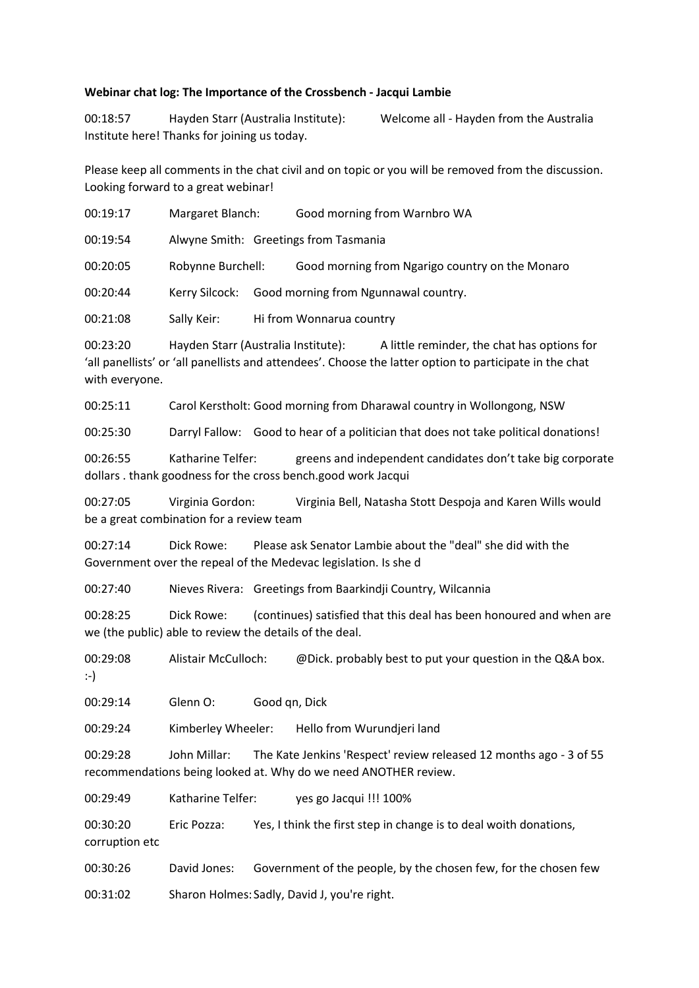## **Webinar chat log: The Importance of the Crossbench - Jacqui Lambie**

00:18:57 Hayden Starr (Australia Institute): Welcome all - Hayden from the Australia Institute here! Thanks for joining us today.

Please keep all comments in the chat civil and on topic or you will be removed from the discussion. Looking forward to a great webinar!

| 00:19:17 | Margaret Blanch:                      |  | Good morning from Warnbro WA                    |  |  |
|----------|---------------------------------------|--|-------------------------------------------------|--|--|
| 00:19:54 | Alwyne Smith: Greetings from Tasmania |  |                                                 |  |  |
| 00:20:05 | Robynne Burchell:                     |  | Good morning from Ngarigo country on the Monaro |  |  |
| 00:20:44 | Kerry Silcock:                        |  | Good morning from Ngunnawal country.            |  |  |
| 00:21:08 | Sally Keir:                           |  | Hi from Wonnarua country                        |  |  |
|          |                                       |  |                                                 |  |  |

00:23:20 Hayden Starr (Australia Institute): A little reminder, the chat has options for 'all panellists' or 'all panellists and attendees'. Choose the latter option to participate in the chat with everyone.

00:25:11 Carol Kerstholt: Good morning from Dharawal country in Wollongong, NSW

00:25:30 Darryl Fallow: Good to hear of a politician that does not take political donations!

00:26:55 Katharine Telfer: greens and independent candidates don't take big corporate dollars . thank goodness for the cross bench.good work Jacqui

00:27:05 Virginia Gordon: Virginia Bell, Natasha Stott Despoja and Karen Wills would be a great combination for a review team

00:27:14 Dick Rowe: Please ask Senator Lambie about the "deal" she did with the Government over the repeal of the Medevac legislation. Is she d

00:27:40 Nieves Rivera: Greetings from Baarkindji Country, Wilcannia

00:28:25 Dick Rowe: (continues) satisfied that this deal has been honoured and when are we (the public) able to review the details of the deal.

00:29:08 Alistair McCulloch: @Dick. probably best to put your question in the Q&A box. :-)

00:29:14 Glenn O: Good qn, Dick

00:29:24 Kimberley Wheeler: Hello from Wurundjeri land

00:29:28 John Millar: The Kate Jenkins 'Respect' review released 12 months ago - 3 of 55 recommendations being looked at. Why do we need ANOTHER review.

00:29:49 Katharine Telfer: yes go Jacqui !!! 100%

00:30:20 Eric Pozza: Yes, I think the first step in change is to deal woith donations, corruption etc

00:30:26 David Jones: Government of the people, by the chosen few, for the chosen few

00:31:02 Sharon Holmes: Sadly, David J, you're right.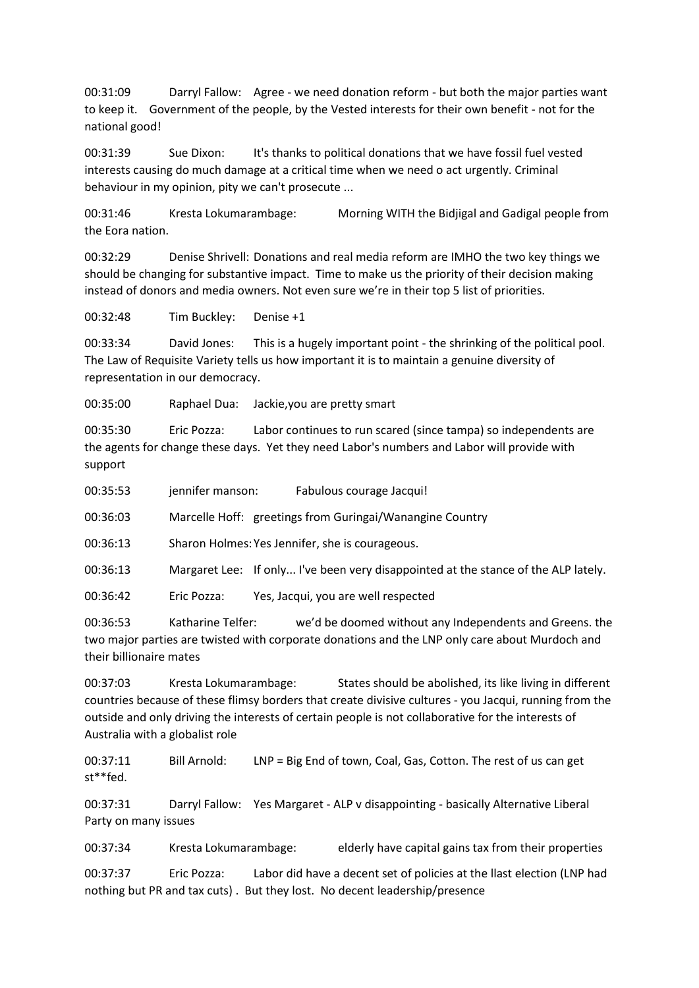00:31:09 Darryl Fallow: Agree - we need donation reform - but both the major parties want to keep it. Government of the people, by the Vested interests for their own benefit - not for the national good!

00:31:39 Sue Dixon: It's thanks to political donations that we have fossil fuel vested interests causing do much damage at a critical time when we need o act urgently. Criminal behaviour in my opinion, pity we can't prosecute ...

00:31:46 Kresta Lokumarambage: Morning WITH the Bidjigal and Gadigal people from the Eora nation.

00:32:29 Denise Shrivell: Donations and real media reform are IMHO the two key things we should be changing for substantive impact. Time to make us the priority of their decision making instead of donors and media owners. Not even sure we're in their top 5 list of priorities.

00:32:48 Tim Buckley: Denise +1

00:33:34 David Jones: This is a hugely important point - the shrinking of the political pool. The Law of Requisite Variety tells us how important it is to maintain a genuine diversity of representation in our democracy.

00:35:00 Raphael Dua: Jackie,you are pretty smart

00:35:30 Eric Pozza: Labor continues to run scared (since tampa) so independents are the agents for change these days. Yet they need Labor's numbers and Labor will provide with support

00:35:53 jennifer manson: Fabulous courage Jacqui!

00:36:03 Marcelle Hoff: greetings from Guringai/Wanangine Country

00:36:13 Sharon Holmes:Yes Jennifer, she is courageous.

00:36:13 Margaret Lee: If only... I've been very disappointed at the stance of the ALP lately.

00:36:42 Eric Pozza: Yes, Jacqui, you are well respected

00:36:53 Katharine Telfer: we'd be doomed without any Independents and Greens. the two major parties are twisted with corporate donations and the LNP only care about Murdoch and their billionaire mates

00:37:03 Kresta Lokumarambage: States should be abolished, its like living in different countries because of these flimsy borders that create divisive cultures - you Jacqui, running from the outside and only driving the interests of certain people is not collaborative for the interests of Australia with a globalist role

00:37:11 Bill Arnold: LNP = Big End of town, Coal, Gas, Cotton. The rest of us can get st\*\*fed.

00:37:31 Darryl Fallow: Yes Margaret - ALP v disappointing - basically Alternative Liberal Party on many issues

00:37:34 Kresta Lokumarambage: elderly have capital gains tax from their properties

00:37:37 Eric Pozza: Labor did have a decent set of policies at the llast election (LNP had nothing but PR and tax cuts) . But they lost. No decent leadership/presence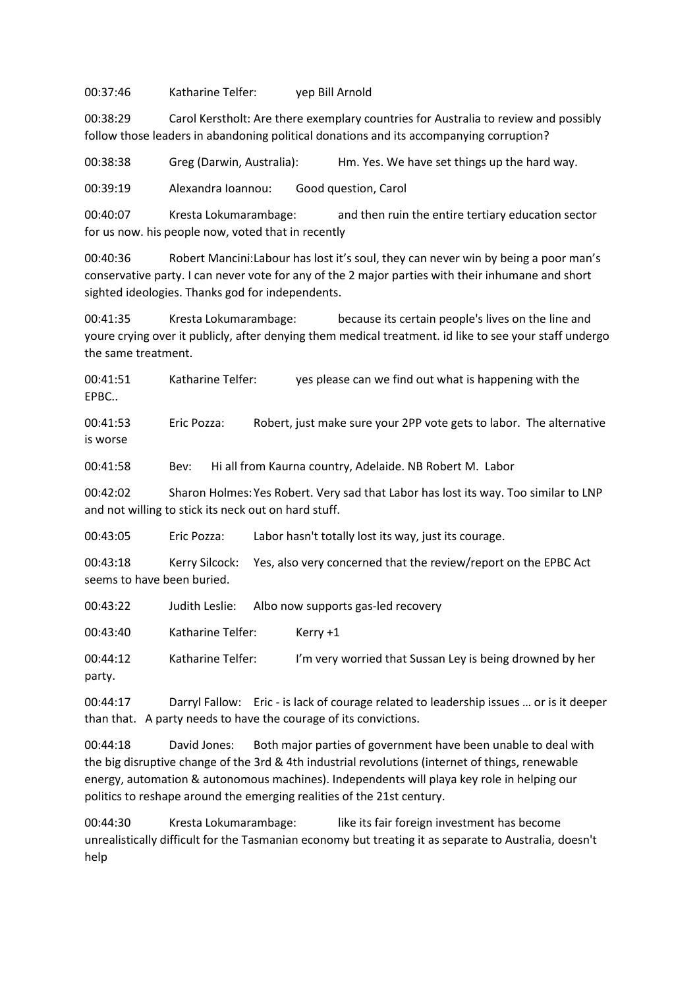00:37:46 Katharine Telfer: yep Bill Arnold

00:38:29 Carol Kerstholt: Are there exemplary countries for Australia to review and possibly follow those leaders in abandoning political donations and its accompanying corruption?

00:38:38 Greg (Darwin, Australia): Hm. Yes. We have set things up the hard way.

00:39:19 Alexandra Ioannou: Good question, Carol

00:40:07 Kresta Lokumarambage: and then ruin the entire tertiary education sector for us now. his people now, voted that in recently

00:40:36 Robert Mancini:Labour has lost it's soul, they can never win by being a poor man's conservative party. I can never vote for any of the 2 major parties with their inhumane and short sighted ideologies. Thanks god for independents.

00:41:35 Kresta Lokumarambage: because its certain people's lives on the line and youre crying over it publicly, after denying them medical treatment. id like to see your staff undergo the same treatment.

00:41:51 Katharine Telfer: yes please can we find out what is happening with the EPBC..

00:41:53 Eric Pozza: Robert, just make sure your 2PP vote gets to labor. The alternative is worse

00:41:58 Bev: Hi all from Kaurna country, Adelaide. NB Robert M. Labor

00:42:02 Sharon Holmes:Yes Robert. Very sad that Labor has lost its way. Too similar to LNP and not willing to stick its neck out on hard stuff.

00:43:05 Eric Pozza: Labor hasn't totally lost its way, just its courage.

00:43:18 Kerry Silcock: Yes, also very concerned that the review/report on the EPBC Act seems to have been buried.

00:43:22 Judith Leslie: Albo now supports gas-led recovery

00:43:40 Katharine Telfer: Kerry +1

00:44:12 Katharine Telfer: I'm very worried that Sussan Ley is being drowned by her party.

00:44:17 Darryl Fallow: Eric - is lack of courage related to leadership issues … or is it deeper than that. A party needs to have the courage of its convictions.

00:44:18 David Jones: Both major parties of government have been unable to deal with the big disruptive change of the 3rd & 4th industrial revolutions (internet of things, renewable energy, automation & autonomous machines). Independents will playa key role in helping our politics to reshape around the emerging realities of the 21st century.

00:44:30 Kresta Lokumarambage: like its fair foreign investment has become unrealistically difficult for the Tasmanian economy but treating it as separate to Australia, doesn't help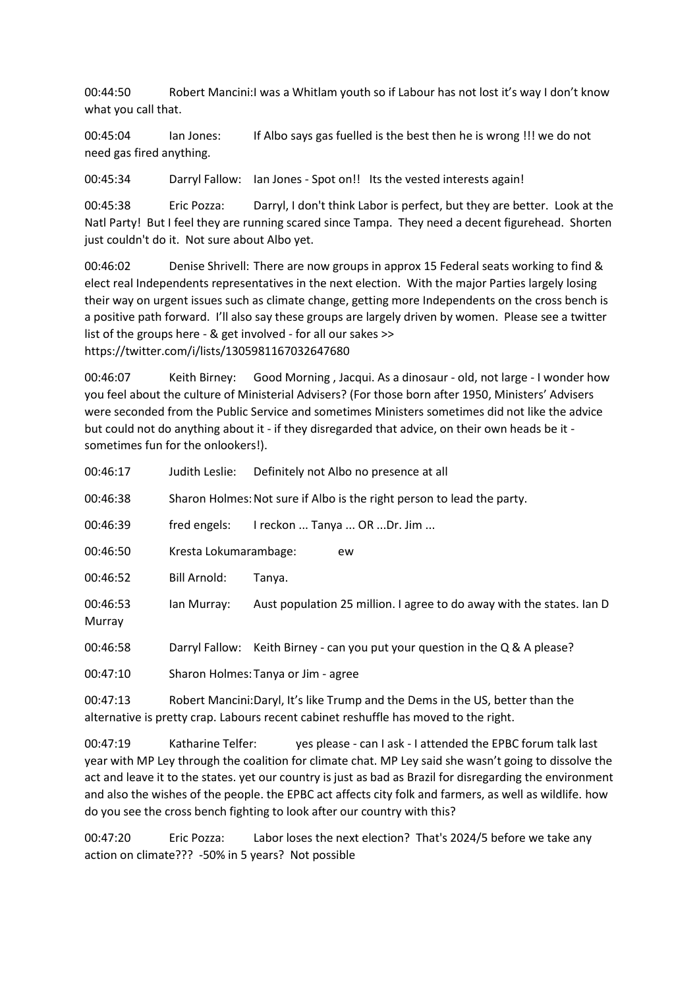00:44:50 Robert Mancini:I was a Whitlam youth so if Labour has not lost it's way I don't know what you call that.

00:45:04 Ian Jones: If Albo says gas fuelled is the best then he is wrong !!! we do not need gas fired anything.

00:45:34 Darryl Fallow: Ian Jones - Spot on!! Its the vested interests again!

00:45:38 Eric Pozza: Darryl, I don't think Labor is perfect, but they are better. Look at the Natl Party! But I feel they are running scared since Tampa. They need a decent figurehead. Shorten just couldn't do it. Not sure about Albo yet.

00:46:02 Denise Shrivell: There are now groups in approx 15 Federal seats working to find & elect real Independents representatives in the next election. With the major Parties largely losing their way on urgent issues such as climate change, getting more Independents on the cross bench is a positive path forward. I'll also say these groups are largely driven by women. Please see a twitter list of the groups here - & get involved - for all our sakes >> https://twitter.com/i/lists/1305981167032647680

00:46:07 Keith Birney: Good Morning , Jacqui. As a dinosaur - old, not large - I wonder how you feel about the culture of Ministerial Advisers? (For those born after 1950, Ministers' Advisers were seconded from the Public Service and sometimes Ministers sometimes did not like the advice but could not do anything about it - if they disregarded that advice, on their own heads be it sometimes fun for the onlookers!).

| 00:46:17           | Judith Leslie:                                                                 | Definitely not Albo no presence at all                                 |  |  |
|--------------------|--------------------------------------------------------------------------------|------------------------------------------------------------------------|--|--|
| 00:46:38           |                                                                                | Sharon Holmes: Not sure if Albo is the right person to lead the party. |  |  |
| 00:46:39           | fred engels:                                                                   | I reckon  Tanya  OR Dr. Jim                                            |  |  |
| 00:46:50           | Kresta Lokumarambage:                                                          | ew                                                                     |  |  |
| 00:46:52           | <b>Bill Arnold:</b>                                                            | Tanya.                                                                 |  |  |
| 00:46:53<br>Murray | lan Murray:                                                                    | Aust population 25 million. I agree to do away with the states. Ian D  |  |  |
| 00:46:58           | Darryl Fallow:                                                                 | Keith Birney - can you put your question in the $Q & A$ please?        |  |  |
| 00:47:10           | Sharon Holmes: Tanya or Jim - agree                                            |                                                                        |  |  |
| 00:47:13           | Robert Mancini: Daryl, It's like Trump and the Dems in the US, better than the |                                                                        |  |  |

alternative is pretty crap. Labours recent cabinet reshuffle has moved to the right.

00:47:19 Katharine Telfer: yes please - can I ask - I attended the EPBC forum talk last year with MP Ley through the coalition for climate chat. MP Ley said she wasn't going to dissolve the act and leave it to the states. yet our country is just as bad as Brazil for disregarding the environment and also the wishes of the people. the EPBC act affects city folk and farmers, as well as wildlife. how do you see the cross bench fighting to look after our country with this?

00:47:20 Eric Pozza: Labor loses the next election? That's 2024/5 before we take any action on climate??? -50% in 5 years? Not possible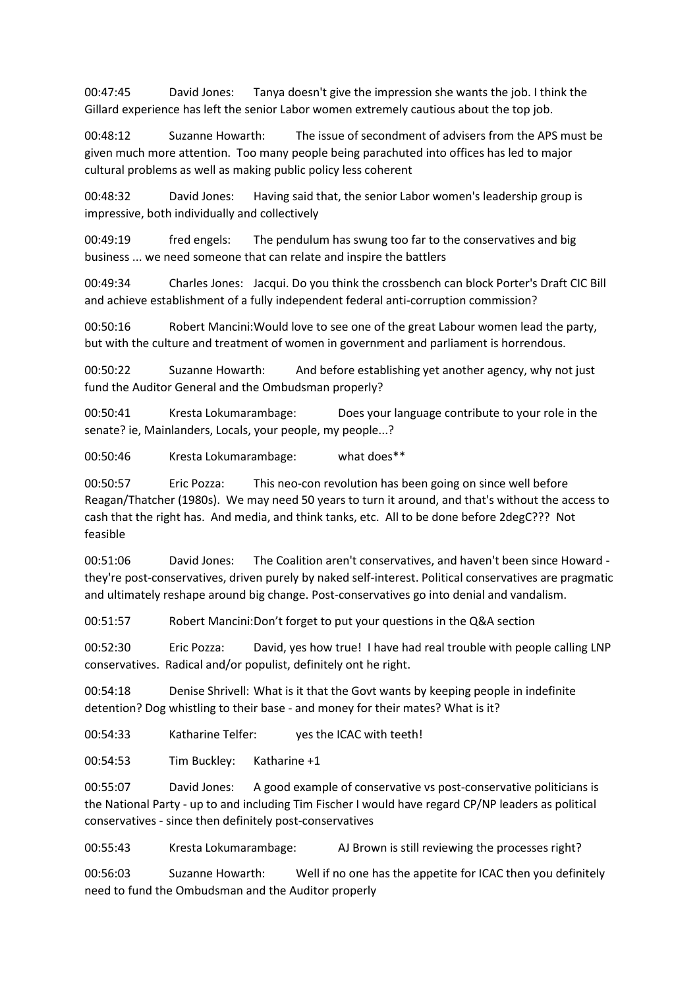00:47:45 David Jones: Tanya doesn't give the impression she wants the job. I think the Gillard experience has left the senior Labor women extremely cautious about the top job.

00:48:12 Suzanne Howarth: The issue of secondment of advisers from the APS must be given much more attention. Too many people being parachuted into offices has led to major cultural problems as well as making public policy less coherent

00:48:32 David Jones: Having said that, the senior Labor women's leadership group is impressive, both individually and collectively

00:49:19 fred engels: The pendulum has swung too far to the conservatives and big business ... we need someone that can relate and inspire the battlers

00:49:34 Charles Jones: Jacqui. Do you think the crossbench can block Porter's Draft CIC Bill and achieve establishment of a fully independent federal anti-corruption commission?

00:50:16 Robert Mancini: Would love to see one of the great Labour women lead the party, but with the culture and treatment of women in government and parliament is horrendous.

00:50:22 Suzanne Howarth: And before establishing yet another agency, why not just fund the Auditor General and the Ombudsman properly?

00:50:41 Kresta Lokumarambage: Does your language contribute to your role in the senate? ie, Mainlanders, Locals, your people, my people...?

00:50:46 Kresta Lokumarambage: what does\*\*

00:50:57 Eric Pozza: This neo-con revolution has been going on since well before Reagan/Thatcher (1980s). We may need 50 years to turn it around, and that's without the access to cash that the right has. And media, and think tanks, etc. All to be done before 2degC??? Not feasible

00:51:06 David Jones: The Coalition aren't conservatives, and haven't been since Howard they're post-conservatives, driven purely by naked self-interest. Political conservatives are pragmatic and ultimately reshape around big change. Post-conservatives go into denial and vandalism.

00:51:57 Robert Mancini:Don't forget to put your questions in the Q&A section

00:52:30 Eric Pozza: David, yes how true! I have had real trouble with people calling LNP conservatives. Radical and/or populist, definitely ont he right.

00:54:18 Denise Shrivell: What is it that the Govt wants by keeping people in indefinite detention? Dog whistling to their base - and money for their mates? What is it?

00:54:33 Katharine Telfer: yes the ICAC with teeth!

00:54:53 Tim Buckley: Katharine +1

00:55:07 David Jones: A good example of conservative vs post-conservative politicians is the National Party - up to and including Tim Fischer I would have regard CP/NP leaders as political conservatives - since then definitely post-conservatives

00:55:43 Kresta Lokumarambage: AJ Brown is still reviewing the processes right?

00:56:03 Suzanne Howarth: Well if no one has the appetite for ICAC then you definitely need to fund the Ombudsman and the Auditor properly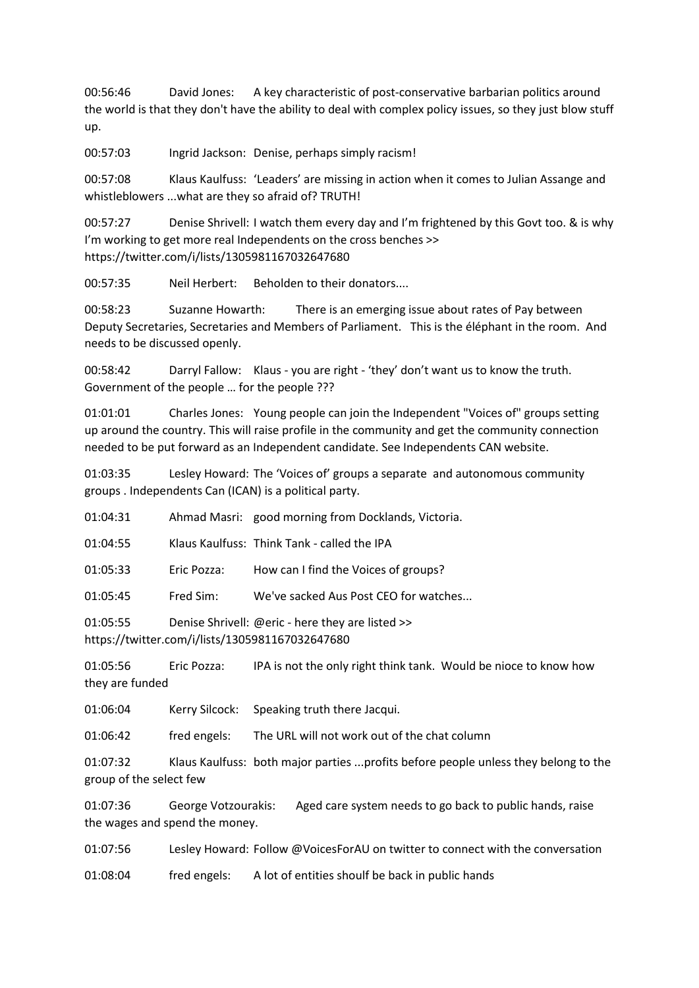00:56:46 David Jones: A key characteristic of post-conservative barbarian politics around the world is that they don't have the ability to deal with complex policy issues, so they just blow stuff up.

00:57:03 Ingrid Jackson: Denise, perhaps simply racism!

00:57:08 Klaus Kaulfuss: 'Leaders' are missing in action when it comes to Julian Assange and whistleblowers ...what are they so afraid of? TRUTH!

00:57:27 Denise Shrivell: I watch them every day and I'm frightened by this Govt too. & is why I'm working to get more real Independents on the cross benches >> https://twitter.com/i/lists/1305981167032647680

00:57:35 Neil Herbert: Beholden to their donators....

00:58:23 Suzanne Howarth: There is an emerging issue about rates of Pay between Deputy Secretaries, Secretaries and Members of Parliament. This is the éléphant in the room. And needs to be discussed openly.

00:58:42 Darryl Fallow: Klaus - you are right - 'they' don't want us to know the truth. Government of the people … for the people ???

01:01:01 Charles Jones: Young people can join the Independent "Voices of" groups setting up around the country. This will raise profile in the community and get the community connection needed to be put forward as an Independent candidate. See Independents CAN website.

01:03:35 Lesley Howard: The 'Voices of' groups a separate and autonomous community groups . Independents Can (ICAN) is a political party.

| 01:04:31 |             | Ahmad Masri: good morning from Docklands, Victoria. |
|----------|-------------|-----------------------------------------------------|
| 01:04:55 |             | Klaus Kaulfuss: Think Tank - called the IPA         |
| 01:05:33 | Eric Pozza: | How can I find the Voices of groups?                |
| 01:05:45 | Fred Sim:   | We've sacked Aus Post CEO for watches               |
| 01:05:55 |             | Denise Shrivell: @eric - here they are listed >>    |

https://twitter.com/i/lists/1305981167032647680

01:05:56 Eric Pozza: IPA is not the only right think tank. Would be nioce to know how they are funded

01:06:04 Kerry Silcock: Speaking truth there Jacqui.

01:06:42 fred engels: The URL will not work out of the chat column

01:07:32 Klaus Kaulfuss: both major parties ...profits before people unless they belong to the group of the select few

01:07:36 George Votzourakis: Aged care system needs to go back to public hands, raise the wages and spend the money.

01:07:56 Lesley Howard: Follow @VoicesForAU on twitter to connect with the conversation

01:08:04 fred engels: A lot of entities shoulf be back in public hands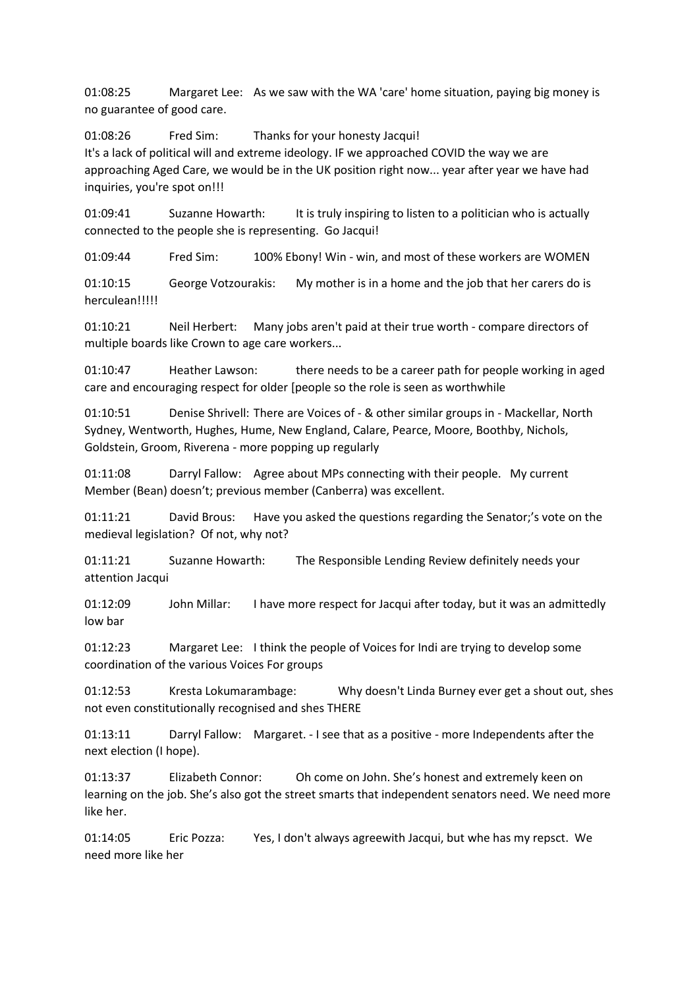01:08:25 Margaret Lee: As we saw with the WA 'care' home situation, paying big money is no guarantee of good care.

01:08:26 Fred Sim: Thanks for your honesty Jacqui!

It's a lack of political will and extreme ideology. IF we approached COVID the way we are approaching Aged Care, we would be in the UK position right now... year after year we have had inquiries, you're spot on!!!

01:09:41 Suzanne Howarth: It is truly inspiring to listen to a politician who is actually connected to the people she is representing. Go Jacqui!

01:09:44 Fred Sim: 100% Ebony! Win - win, and most of these workers are WOMEN

01:10:15 George Votzourakis: My mother is in a home and the job that her carers do is herculean!!!!!

01:10:21 Neil Herbert: Many jobs aren't paid at their true worth - compare directors of multiple boards like Crown to age care workers...

01:10:47 Heather Lawson: there needs to be a career path for people working in aged care and encouraging respect for older [people so the role is seen as worthwhile

01:10:51 Denise Shrivell: There are Voices of - & other similar groups in - Mackellar, North Sydney, Wentworth, Hughes, Hume, New England, Calare, Pearce, Moore, Boothby, Nichols, Goldstein, Groom, Riverena - more popping up regularly

01:11:08 Darryl Fallow: Agree about MPs connecting with their people. My current Member (Bean) doesn't; previous member (Canberra) was excellent.

01:11:21 David Brous: Have you asked the questions regarding the Senator;'s vote on the medieval legislation? Of not, why not?

01:11:21 Suzanne Howarth: The Responsible Lending Review definitely needs your attention Jacqui

01:12:09 John Millar: I have more respect for Jacqui after today, but it was an admittedly low bar

01:12:23 Margaret Lee: I think the people of Voices for Indi are trying to develop some coordination of the various Voices For groups

01:12:53 Kresta Lokumarambage: Why doesn't Linda Burney ever get a shout out, shes not even constitutionally recognised and shes THERE

01:13:11 Darryl Fallow: Margaret. - I see that as a positive - more Independents after the next election (I hope).

01:13:37 Elizabeth Connor: Oh come on John. She's honest and extremely keen on learning on the job. She's also got the street smarts that independent senators need. We need more like her.

01:14:05 Eric Pozza: Yes, I don't always agreewith Jacqui, but whe has my repsct. We need more like her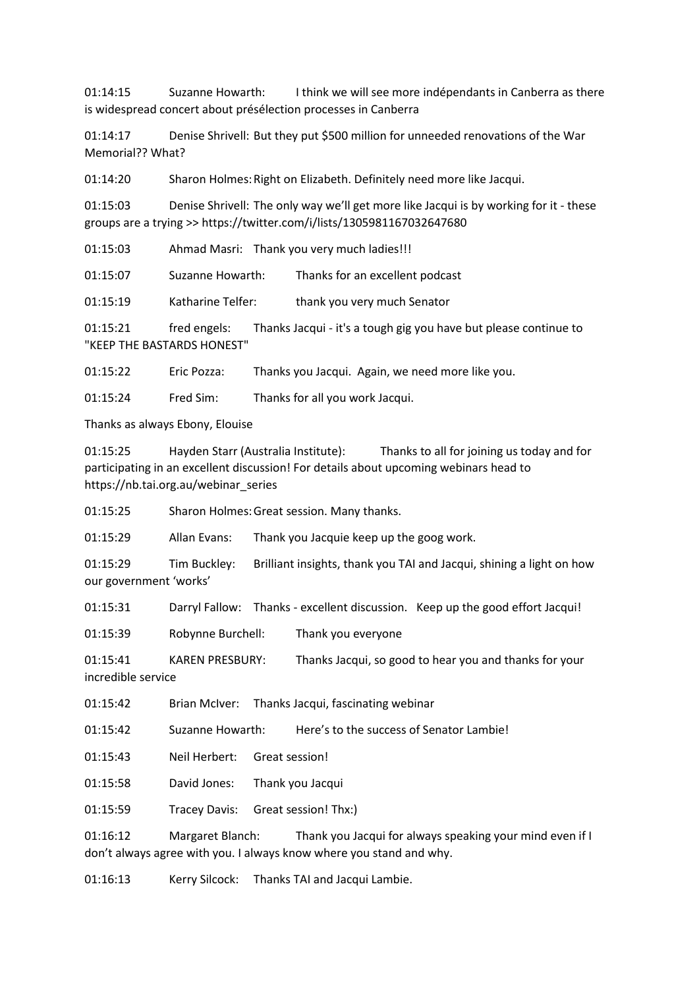01:14:15 Suzanne Howarth: I think we will see more indépendants in Canberra as there is widespread concert about présélection processes in Canberra

01:14:17 Denise Shrivell: But they put \$500 million for unneeded renovations of the War Memorial?? What?

01:14:20 Sharon Holmes:Right on Elizabeth. Definitely need more like Jacqui.

01:15:03 Denise Shrivell: The only way we'll get more like Jacqui is by working for it - these groups are a trying >> https://twitter.com/i/lists/1305981167032647680

01:15:03 Ahmad Masri: Thank you very much ladies!!!

01:15:07 Suzanne Howarth: Thanks for an excellent podcast

01:15:19 Katharine Telfer: thank you very much Senator

01:15:21 fred engels: Thanks Jacqui - it's a tough gig you have but please continue to "KEEP THE BASTARDS HONEST"

01:15:22 Eric Pozza: Thanks you Jacqui. Again, we need more like you.

01:15:24 Fred Sim: Thanks for all you work Jacqui.

Thanks as always Ebony, Elouise

01:15:25 Hayden Starr (Australia Institute): Thanks to all for joining us today and for participating in an excellent discussion! For details about upcoming webinars head to https://nb.tai.org.au/webinar\_series

01:15:25 Sharon Holmes:Great session. Many thanks.

01:15:29 Allan Evans: Thank you Jacquie keep up the goog work.

01:15:29 Tim Buckley: Brilliant insights, thank you TAI and Jacqui, shining a light on how our government 'works'

01:15:31 Darryl Fallow: Thanks - excellent discussion. Keep up the good effort Jacqui!

01:15:39 Robynne Burchell: Thank you everyone

01:15:41 KAREN PRESBURY: Thanks Jacqui, so good to hear you and thanks for your incredible service

01:15:42 Brian McIver: Thanks Jacqui, fascinating webinar

01:15:42 Suzanne Howarth: Here's to the success of Senator Lambie!

01:15:43 Neil Herbert: Great session!

01:15:58 David Jones: Thank you Jacqui

01:15:59 Tracey Davis: Great session! Thx:)

01:16:12 Margaret Blanch: Thank you Jacqui for always speaking your mind even if I don't always agree with you. I always know where you stand and why.

01:16:13 Kerry Silcock: Thanks TAI and Jacqui Lambie.